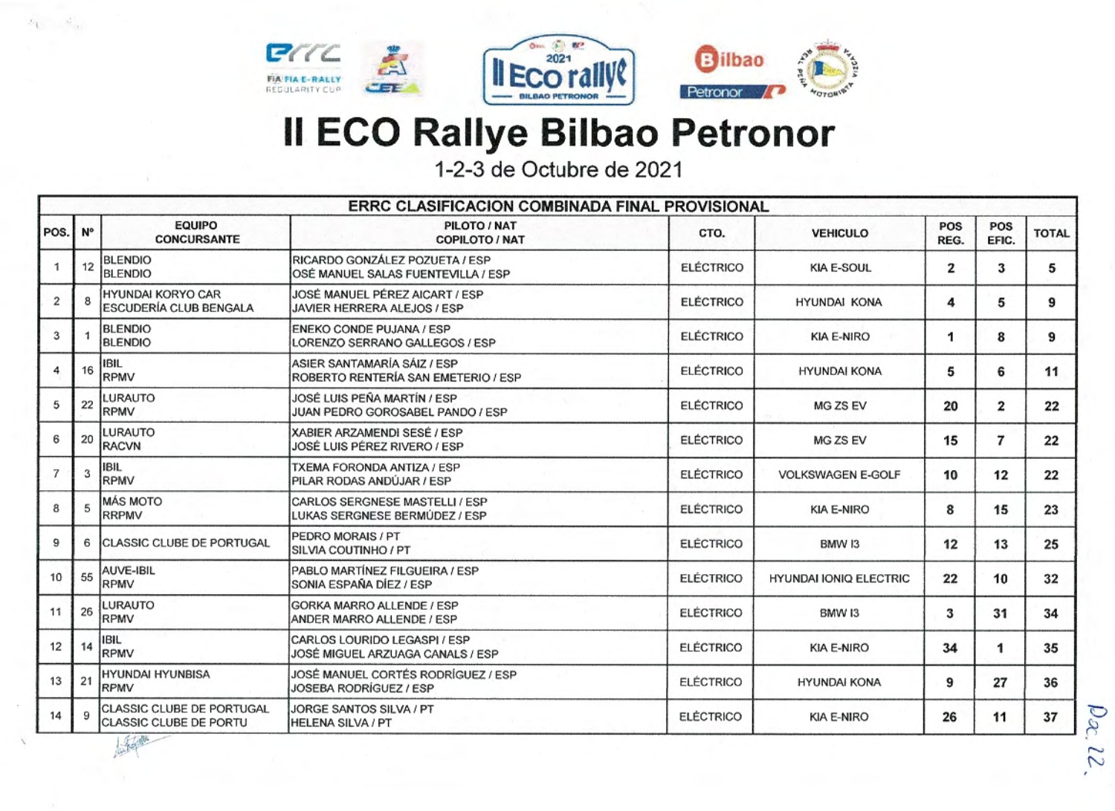

*C?rr~*  **FIA FL. RALLY** REGULARITY CUP

...  $\mathbb{Z}$ *.::E'E* 



## **11 ECO Rallye Bilbao Petronor**

1-2-3 de Octubre de 2021

|                |             |                                                     | ERRC CLASIFICACION COMBINADA FINAL PROVISIONAL                       |                  |                               |             |              |              |
|----------------|-------------|-----------------------------------------------------|----------------------------------------------------------------------|------------------|-------------------------------|-------------|--------------|--------------|
| POS.           | $N^{\circ}$ | <b>EQUIPO</b><br><b>CONCURSANTE</b>                 | PILOTO / NAT<br><b>COPILOTO / NAT</b>                                | CTO.             | <b>VEHICULO</b>               | POS<br>REG. | POS<br>EFIC. | <b>TOTAL</b> |
|                | 12          | <b>BLENDIO</b><br><b>BLENDIO</b>                    | RICARDO GONZÁLEZ POZUETA / ESP<br>OSÉ MANUEL SALAS FUENTEVILLA / ESP | <b>ELÉCTRICO</b> | <b>KIA E-SOUL</b>             | 2           | 3            | 5            |
| $\overline{2}$ |             | HYUNDAI KORYO CAR<br>ESCUDERÍA CLUB BENGALA         | JOSÉ MANUEL PÉREZ AICART / ESP<br>JAVIER HERRERA ALEJOS / ESP        | <b>ELÉCTRICO</b> | <b>HYUNDAI KONA</b>           | 4           | 5            | 9            |
| 3              | 1           | <b>BLENDIO</b><br><b>BLENDIO</b>                    | ENEKO CONDE PUJANA / ESP<br>LORENZO SERRANO GALLEGOS / ESP           | <b>ELÉCTRICO</b> | <b>KIA E-NIRO</b>             | 1           | 8            | 9            |
| 4              | 16          | <b>IBIL</b><br>RPMV                                 | ASIER SANTAMARÍA SÁIZ / ESP<br>ROBERTO RENTERÍA SAN EMETERIO / ESP   | <b>ELÉCTRICO</b> | <b>HYUNDAI KONA</b>           | 5           | 6            | 11           |
| 5              | 22          | LURAUTO<br>RPMV                                     | JOSÉ LUIS PEÑA MARTÍN / ESP<br>JUAN PEDRO GOROSABEL PANDO / ESP      | <b>ELÉCTRICO</b> | MG ZS EV                      | 20          | 2            | 22           |
| 6              | 20          | <b>LURAUTO</b><br><b>RACVN</b>                      | XABIER ARZAMENDI SESÉ / ESP<br>JOSÉ LUIS PÉREZ RIVERO / ESP          | <b>ELÉCTRICO</b> | MG ZS EV                      | 15          | 7            | 22           |
| $\overline{7}$ | 3           | <b>IBIL</b><br>RPMV                                 | TXEMA FORONDA ANTIZA / ESP<br>PILAR RODAS ANDÚJAR / ESP              | <b>ELÉCTRICO</b> | <b>VOLKSWAGEN E-GOLF</b>      | 10          | 12           | 22           |
| 8              | 5           | <b>MÁS MOTO</b><br>RRPMV                            | CARLOS SERGNESE MASTELLI / ESP<br>LUKAS SERGNESE BERMÚDEZ / ESP      | <b>ELÉCTRICO</b> | <b>KIA E-NIRO</b>             | 8           | 15           | 23           |
| 9              | 6           | <b>CLASSIC CLUBE DE PORTUGAL</b>                    | PEDRO MORAIS / PT<br>SILVIA COUTINHO / PT                            | <b>ELÉCTRICO</b> | BMW 13                        | 12          | 13           | 25           |
| 10             | 55          | AUVE-IBIL<br>RPMV                                   | PABLO MARTÍNEZ FILGUEIRA / ESP<br>SONIA ESPAÑA DÍEZ / ESP            | <b>ELÉCTRICO</b> | <b>HYUNDAI IONIQ ELECTRIC</b> | 22          | 10           | 32           |
| 11             | 26          | LURAUTO<br>RPMV                                     | GORKA MARRO ALLENDE / ESP<br>ANDER MARRO ALLENDE / ESP               | <b>ELÉCTRICO</b> | BMW I3                        | 3           | 31           | 34           |
| 12             | 14          | IBIL<br>RPMV                                        | CARLOS LOURIDO LEGASPI / ESP<br>JOSÉ MIGUEL ARZUAGA CANALS / ESP     | <b>ELÉCTRICO</b> | <b>KIA E-NIRO</b>             | 34          |              | 35           |
| 13             | 21          | HYUNDAI HYUNBISA<br><b>RPMV</b>                     | JOSÉ MANUEL CORTÉS RODRÍGUEZ / ESP<br>JOSEBA RODRÍGUEZ / ESP         | <b>ELÉCTRICO</b> | <b>HYUNDAI KONA</b>           | 9           | 27           | 36           |
| 14             | 9           | CLASSIC CLUBE DE PORTUGAL<br>CLASSIC CLUBE DE PORTU | JORGE SANTOS SILVA / PT<br>HELENA SILVA / PT                         | <b>ELÉCTRICO</b> | KIA E-NIRO                    | 26          | 11           | 37           |

'

 $\mathcal{A}_{\mathrm{int}}$ 

 $\mathcal{L}_2$ 

 $, -10$ 

 $\overline{\sim}$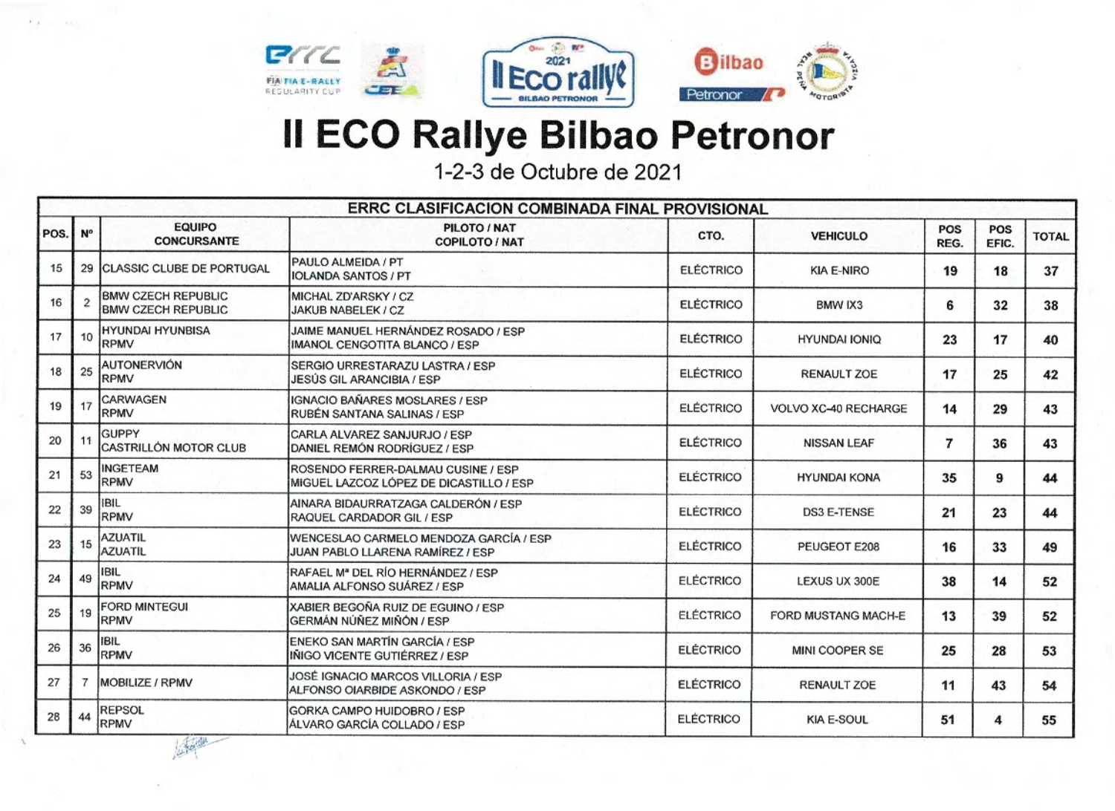

 $C/C$ 

**FIA FIA E-RALLY**<br>REGULARITY CUP

 $k = 1$ 



## **Il ECO Rallye Bilbao Petronor**

1-2-3 de Octubre de 2021

|      |              |                                                        | ERRC CLASIFICACION COMBINADA FINAL PROVISIONAL                                |                  |                      |             |              |              |
|------|--------------|--------------------------------------------------------|-------------------------------------------------------------------------------|------------------|----------------------|-------------|--------------|--------------|
| POS. | N°           | <b>EQUIPO</b><br><b>CONCURSANTE</b>                    | PILOTO / NAT<br><b>COPILOTO / NAT</b>                                         | CTO.             | <b>VEHICULO</b>      | POS<br>REG. | POS<br>EFIC. | <b>TOTAL</b> |
| 15   | 29           | <b>CLASSIC CLUBE DE PORTUGAL</b>                       | PAULO ALMEIDA / PT<br><b>IOLANDA SANTOS / PT</b>                              | <b>ELÉCTRICO</b> | <b>KIA E-NIRO</b>    | 19          | 18           | 37           |
| 16   | $\mathbf{2}$ | <b>BMW CZECH REPUBLIC</b><br><b>BMW CZECH REPUBLIC</b> | MICHAL ZD'ARSKY / CZ<br>JAKUB NABELEK / CZ                                    | <b>ELÉCTRICO</b> | BMW IX3              | 6           | 32           | 38           |
| 17   | 10           | <b>HYUNDAI HYUNBISA</b><br>RPMV                        | JAIME MANUEL HERNÁNDEZ ROSADO / ESP<br>IMANOL CENGOTITA BLANCO / ESP          | <b>ELÉCTRICO</b> | <b>HYUNDAI IONIQ</b> | 23          | 17           | 40           |
| 18   | 25           | <b>AUTONERVIÓN</b><br>RPMV                             | SERGIO URRESTARAZU LASTRA / ESP<br>JESÚS GIL ARANCIBIA / ESP                  | <b>ELÉCTRICO</b> | RENAULT ZOE          | 17          | 25           | 42           |
| 19   | 17           | CARWAGEN<br>RPMV                                       | IGNACIO BAÑARES MOSLARES / ESP<br>RUBÉN SANTANA SALINAS / ESP                 | <b>ELÉCTRICO</b> | VOLVO XC-40 RECHARGE | 14          | 29           | 43           |
| 20   | 11           | <b>GUPPY</b><br>CASTRILLÓN MOTOR CLUB                  | CARLA ALVAREZ SANJURJO / ESP<br>DANIEL REMÓN RODRÍGUEZ / ESP                  | <b>ELÉCTRICO</b> | <b>NISSAN LEAF</b>   | 7           | 36           | 43           |
| 21   | 53           | <b>INGETEAM</b><br>RPMV                                | ROSENDO FERRER-DALMAU CUSINE / ESP<br>MIGUEL LAZCOZ LÓPEZ DE DICASTILLO / ESP | <b>ELÉCTRICO</b> | <b>HYUNDAI KONA</b>  | 35          | 9            | 44           |
| 22   | 39           | <b>IBIL</b><br>RPMV                                    | AINARA BIDAURRATZAGA CALDERÓN / ESP<br>RAQUEL CARDADOR GIL / ESP              | <b>ELÉCTRICO</b> | <b>DS3 E-TENSE</b>   | 21          | 23           | 44           |
| 23   | 15           | <b>AZUATIL</b><br>AZUATIL                              | WENCESLAO CARMELO MENDOZA GARCÍA / ESP<br>JUAN PABLO LLARENA RAMÍREZ / ESP    | <b>ELÉCTRICO</b> | PEUGEOT E208         | 16          | 33           | 49           |
| 24   | 49           | <b>IBIL</b><br>RPMV                                    | RAFAEL Mª DEL RÍO HERNÁNDEZ / ESP<br>AMALIA ALFONSO SUÁREZ / ESP              | <b>ELÉCTRICO</b> | LEXUS UX 300E        | 38          | 14           | 52           |
| 25   | 19           | FORD MINTEGUI<br><b>RPMV</b>                           | XABIER BEGOÑA RUIZ DE EGUINO / ESP<br>GERMÁN NÚÑEZ MIÑÓN / ESP                | <b>ELÉCTRICO</b> | FORD MUSTANG MACH-E  | 13          | 39           | 52           |
| 26   | 36           | <b>IBIL</b><br>RPMV                                    | ENEKO SAN MARTÍN GARCÍA / ESP<br>INIGO VICENTE GUTIÉRREZ / ESP                | <b>ELÉCTRICO</b> | MINI COOPER SE       | 25          | 28           | 53           |
| 27   | 7            | MOBILIZE / RPMV                                        | JOSÉ IGNACIO MARCOS VILLORIA / ESP<br>ALFONSO OIARBIDE ASKONDO / ESP          | <b>ELÉCTRICO</b> | <b>RENAULT ZOE</b>   | 11          | 43           | 54           |
| 28   | 44           | REPSOL<br><b>RPMV</b>                                  | GORKA CAMPO HUIDOBRO / ESP<br>ÁLVARO GARCÍA COLLADO / ESP                     | <b>ELÉCTRICO</b> | <b>KIA E-SOUL</b>    | 51          | 4            | 55           |
|      |              | 我也                                                     |                                                                               |                  |                      |             |              |              |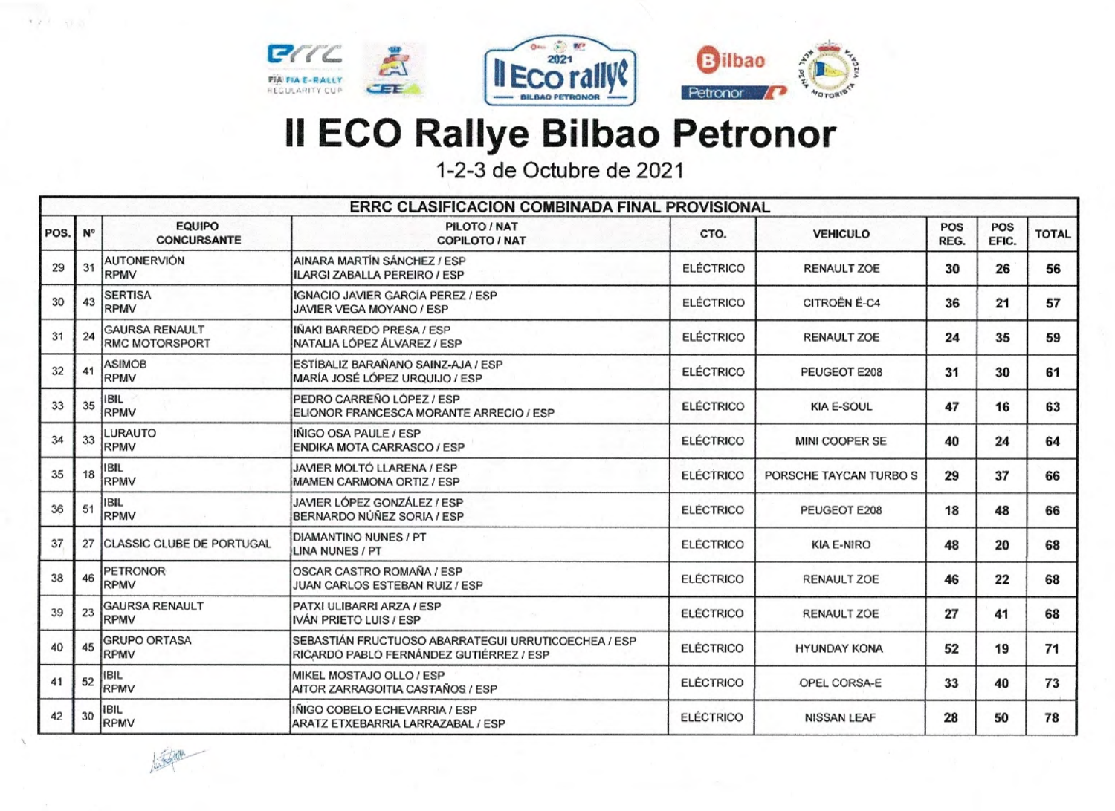

 $421 - 113$ 

海西





## **Il ECO Rallye Bilbao Petronor**

1-2-3 de Octubre de 2021

| ERRC CLASIFICACION COMBINADA FINAL PROVISIONAL |    |                                         |                                                                                                |                  |                        |             |              |              |  |
|------------------------------------------------|----|-----------------------------------------|------------------------------------------------------------------------------------------------|------------------|------------------------|-------------|--------------|--------------|--|
| POS.                                           | N° | <b>EQUIPO</b><br><b>CONCURSANTE</b>     | PILOTO / NAT<br><b>COPILOTO / NAT</b>                                                          | CTO.             | <b>VEHICULO</b>        | POS<br>REG. | POS<br>EFIC. | <b>TOTAL</b> |  |
| 29                                             | 31 | <b>AUTONERVIÓN</b><br>RPMV              | AINARA MARTÍN SÁNCHEZ / ESP<br><b>ILARGI ZABALLA PEREIRO / ESP</b>                             | <b>ELÉCTRICO</b> | <b>RENAULT ZOE</b>     | 30          | 26           | 56           |  |
| 30                                             | 43 | <b>SERTISA</b><br><b>RPMV</b>           | <b>IGNACIO JAVIER GARCÍA PEREZ / ESP</b><br>JAVIER VEGA MOYANO / ESP                           | <b>ELÉCTRICO</b> | CITROËN Ë-C4           | 36          | 21           | 57           |  |
| 31                                             | 24 | <b>GAURSA RENAULT</b><br>RMC MOTORSPORT | IÑAKI BARREDO PRESA / ESP<br>NATALIA LÓPEZ ÁLVAREZ / ESP                                       | <b>ELÉCTRICO</b> | <b>RENAULT ZOE</b>     | 24          | 35           | 59           |  |
| 32                                             | 41 | <b>ASIMOB</b><br><b>RPMV</b>            | ESTÍBALIZ BARAÑANO SAINZ-AJA / ESP<br>MARÍA JOSÉ LÓPEZ URQUIJO / ESP                           | <b>ELÉCTRICO</b> | PEUGEOT E208           | 31          | 30           | 61           |  |
| 33                                             | 35 | <b>IBIL</b><br><b>RPMV</b>              | PEDRO CARREÑO LÓPEZ / ESP<br>ELIONOR FRANCESCA MORANTE ARRECIO / ESP                           | <b>ELÉCTRICO</b> | <b>KIA E-SOUL</b>      | 47          | 16           | 63           |  |
| 34                                             | 33 | LURAUTO<br>RPMV                         | INIGO OSA PAULE / ESP<br>ENDIKA MOTA CARRASCO / ESP                                            | <b>ELÉCTRICO</b> | MINI COOPER SE         | 40          | 24           | 64           |  |
| 35                                             | 18 | <b>IBIL</b><br>RPMV                     | JAVIER MOLTÓ LLARENA / ESP<br>MAMEN CARMONA ORTIZ / ESP                                        | <b>ELÉCTRICO</b> | PORSCHE TAYCAN TURBO S | 29          | 37           | 66           |  |
| 36                                             | 51 | IBIL<br><b>RPMV</b>                     | JAVIER LÓPEZ GONZÁLEZ / ESP<br>BERNARDO NÚÑEZ SORIA / ESP                                      | <b>ELÉCTRICO</b> | PEUGEOT E208           | 18          | 48           | 66           |  |
| 37                                             | 27 | CLASSIC CLUBE DE PORTUGAL               | DIAMANTINO NUNES / PT<br>LINA NUNES / PT                                                       | <b>ELÉCTRICO</b> | <b>KIA E-NIRO</b>      | 48          | 20           | 68           |  |
| 38                                             | 46 | <b>PETRONOR</b><br>RPMV                 | OSCAR CASTRO ROMAÑA / ESP<br>JUAN CARLOS ESTEBAN RUIZ / ESP                                    | <b>ELÉCTRICO</b> | <b>RENAULT ZOE</b>     | 46          | 22           | 68           |  |
| 39                                             | 23 | <b>GAURSA RENAULT</b><br><b>RPMV</b>    | PATXI ULIBARRI ARZA / ESP<br>IVÁN PRIETO LUIS / ESP                                            | <b>ELÉCTRICO</b> | <b>RENAULT ZOE</b>     | 27          | 41           | 68           |  |
| 40                                             | 45 | <b>GRUPO ORTASA</b><br>RPMV             | SEBASTIÁN FRUCTUOSO ABARRATEGUI URRUTICOECHEA / ESP<br>RICARDO PABLO FERNÁNDEZ GUTIÉRREZ / ESP | <b>ELÉCTRICO</b> | <b>HYUNDAY KONA</b>    | 52          | 19           | 71           |  |
| 41                                             | 52 | <b>IBIL</b><br>RPMV                     | MIKEL MOSTAJO OLLO / ESP<br>AITOR ZARRAGOITIA CASTAÑOS / ESP                                   | <b>ELÉCTRICO</b> | OPEL CORSA-E           | 33          | 40           | 73           |  |
| 42                                             | 30 | <b>IBIL</b><br>RPMV                     | INIGO COBELO ECHEVARRIA / ESP<br>ARATZ ETXEBARRIA LARRAZABAL / ESP                             | <b>ELÉCTRICO</b> | <b>NISSAN LEAF</b>     | 28          | 50           | 78           |  |